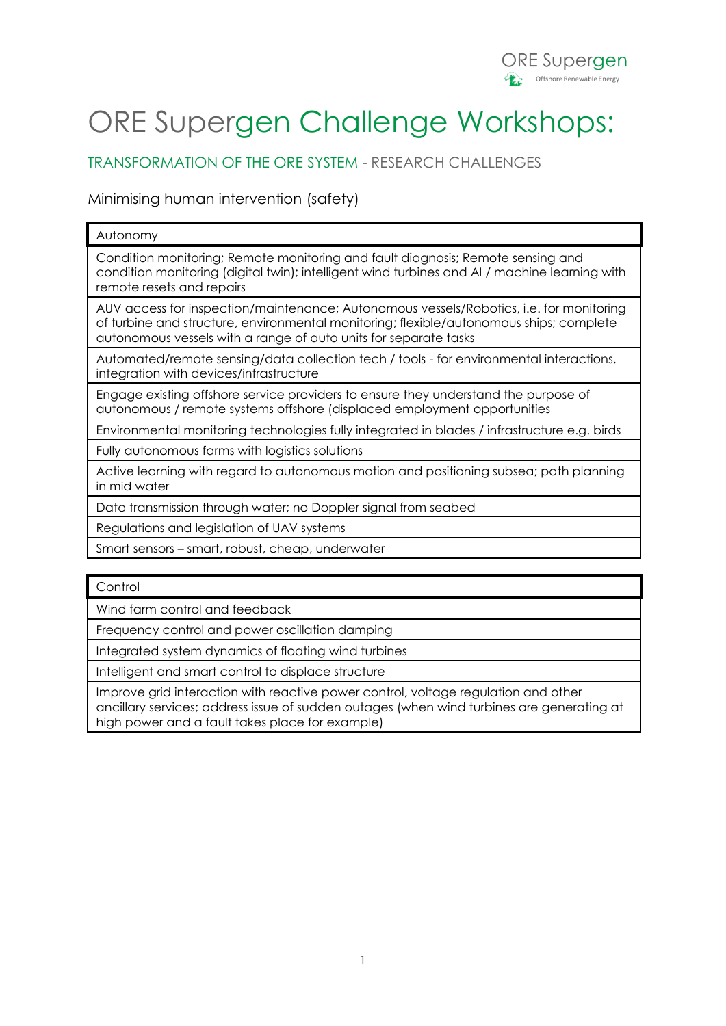# ORE Supergen Challenge Workshops:

TRANSFORMATION OF THE ORE SYSTEM - RESEARCH CHALLENGES

Minimising human intervention (safety)

#### Autonomy

Condition monitoring; Remote monitoring and fault diagnosis; Remote sensing and condition monitoring (digital twin); intelligent wind turbines and AI / machine learning with remote resets and repairs

AUV access for inspection/maintenance; Autonomous vessels/Robotics, i.e. for monitoring of turbine and structure, environmental monitoring; flexible/autonomous ships; complete autonomous vessels with a range of auto units for separate tasks

Automated/remote sensing/data collection tech / tools - for environmental interactions, integration with devices/infrastructure

Engage existing offshore service providers to ensure they understand the purpose of autonomous / remote systems offshore (displaced employment opportunities

Environmental monitoring technologies fully integrated in blades / infrastructure e.g. birds

Fully autonomous farms with logistics solutions

Active learning with regard to autonomous motion and positioning subsea; path planning in mid water

Data transmission through water; no Doppler signal from seabed

Regulations and legislation of UAV systems

Smart sensors – smart, robust, cheap, underwater

**Control** 

Wind farm control and feedback

Frequency control and power oscillation damping

Integrated system dynamics of floating wind turbines

Intelligent and smart control to displace structure

Improve grid interaction with reactive power control, voltage regulation and other ancillary services; address issue of sudden outages (when wind turbines are generating at high power and a fault takes place for example)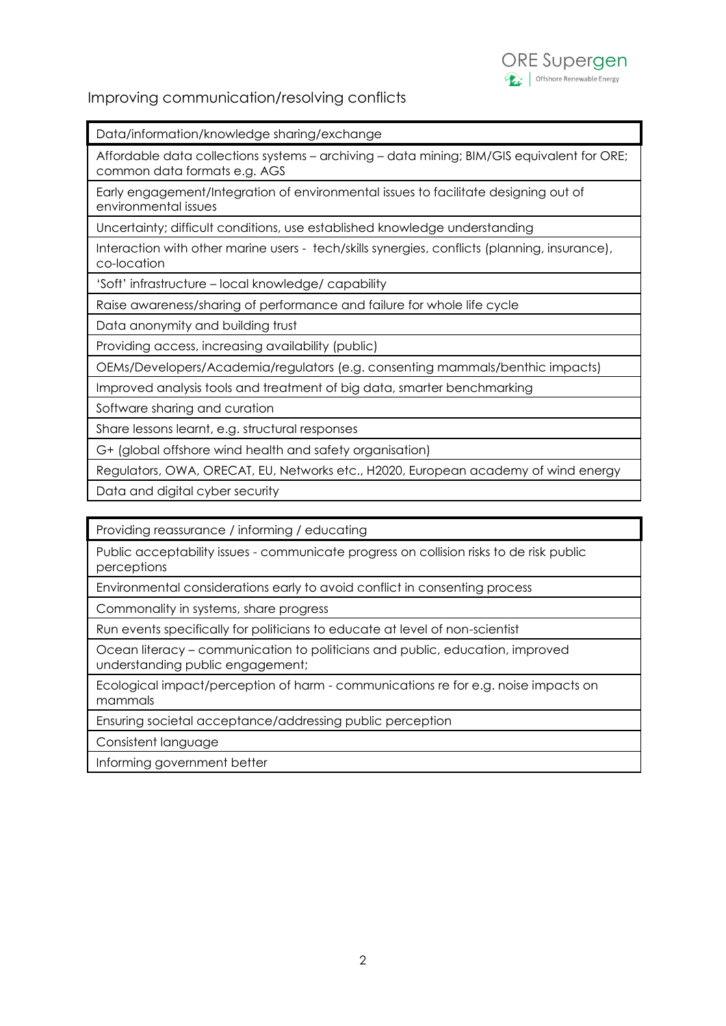

### Improving communication/resolving conflicts

Data/information/knowledge sharing/exchange

Affordable data collections systems – archiving – data mining; BIM/GIS equivalent for ORE; common data formats e.g. AGS

Early engagement/Integration of environmental issues to facilitate designing out of environmental issues

Uncertainty; difficult conditions, use established knowledge understanding

Interaction with other marine users - tech/skills synergies, conflicts (planning, insurance), co-location

'Soft' infrastructure – local knowledge/ capability

Raise awareness/sharing of performance and failure for whole life cycle

Data anonymity and building trust

Providing access, increasing availability (public)

OEMs/Developers/Academia/regulators (e.g. consenting mammals/benthic impacts)

Improved analysis tools and treatment of big data, smarter benchmarking

Software sharing and curation

Share lessons learnt, e.g. structural responses

G+ (global offshore wind health and safety organisation)

Regulators, OWA, ORECAT, EU, Networks etc., H2020, European academy of wind energy

Data and digital cyber security

Providing reassurance / informing / educating

Public acceptability issues - communicate progress on collision risks to de risk public perceptions

Environmental considerations early to avoid conflict in consenting process

Commonality in systems, share progress

Run events specifically for politicians to educate at level of non-scientist

Ocean literacy – communication to politicians and public, education, improved understanding public engagement;

Ecological impact/perception of harm - communications re for e.g. noise impacts on mammals

Ensuring societal acceptance/addressing public perception

Consistent language

Informing government better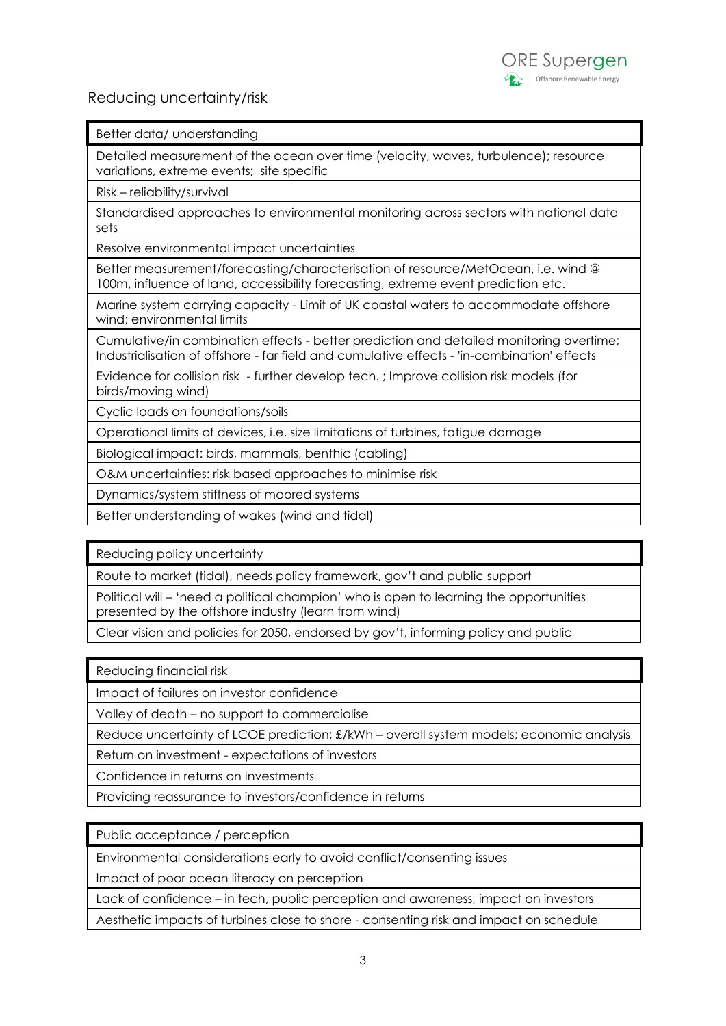## Reducing uncertainty/risk

Better data/ understanding

Detailed measurement of the ocean over time (velocity, waves, turbulence); resource variations, extreme events; site specific

Risk – reliability/survival

Standardised approaches to environmental monitoring across sectors with national data sets

Resolve environmental impact uncertainties

Better measurement/forecasting/characterisation of resource/MetOcean, i.e. wind @ 100m, influence of land, accessibility forecasting, extreme event prediction etc.

Marine system carrying capacity - Limit of UK coastal waters to accommodate offshore wind; environmental limits

Cumulative/in combination effects - better prediction and detailed monitoring overtime; Industrialisation of offshore - far field and cumulative effects - 'in-combination' effects

Evidence for collision risk - further develop tech. ; Improve collision risk models (for birds/moving wind)

Cyclic loads on foundations/soils

Operational limits of devices, i.e. size limitations of turbines, fatigue damage

Biological impact: birds, mammals, benthic (cabling)

O&M uncertainties: risk based approaches to minimise risk

Dynamics/system stiffness of moored systems

Better understanding of wakes (wind and tidal)

Reducing policy uncertainty

Route to market (tidal), needs policy framework, gov't and public support

Political will – 'need a political champion' who is open to learning the opportunities presented by the offshore industry (learn from wind)

Clear vision and policies for 2050, endorsed by gov't, informing policy and public

Reducing financial risk

Impact of failures on investor confidence

Valley of death – no support to commercialise

Reduce uncertainty of LCOE prediction; £/kWh – overall system models; economic analysis

Return on investment - expectations of investors

Confidence in returns on investments

Providing reassurance to investors/confidence in returns

Public acceptance / perception

Environmental considerations early to avoid conflict/consenting issues

Impact of poor ocean literacy on perception

Lack of confidence – in tech, public perception and awareness, impact on investors

Aesthetic impacts of turbines close to shore - consenting risk and impact on schedule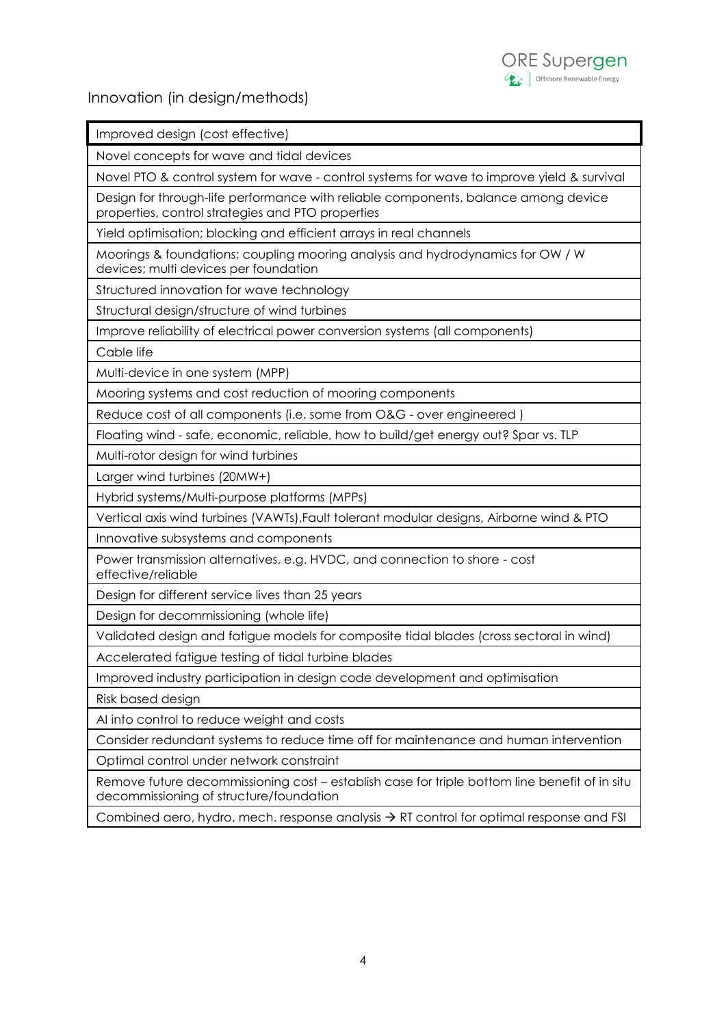

Improved design (cost effective)



| Novel concepts for wave and tidal devices                                                                                               |
|-----------------------------------------------------------------------------------------------------------------------------------------|
| Novel PTO & control system for wave - control systems for wave to improve yield & survival                                              |
| Design for through-life performance with reliable components, balance among device<br>properties, control strategies and PTO properties |
| Yield optimisation; blocking and efficient arrays in real channels                                                                      |
| Moorings & foundations; coupling mooring analysis and hydrodynamics for OW / W<br>devices; multi devices per foundation                 |
| Structured innovation for wave technology                                                                                               |
| Structural design/structure of wind turbines                                                                                            |
| Improve reliability of electrical power conversion systems (all components)                                                             |
| Cable life                                                                                                                              |

Cable life

Multi-device in one system (MPP)

Mooring systems and cost reduction of mooring components

Reduce cost of all components (i.e. some from O&G - over engineered )

Floating wind - safe, economic, reliable, how to build/get energy out? Spar vs. TLP

Multi-rotor design for wind turbines

Larger wind turbines (20MW+)

Hybrid systems/Multi-purpose platforms (MPPs)

Vertical axis wind turbines (VAWTs),Fault tolerant modular designs, Airborne wind & PTO

Innovative subsystems and components

Power transmission alternatives, e.g. HVDC, and connection to shore - cost effective/reliable

Design for different service lives than 25 years

Design for decommissioning (whole life)

Validated design and fatigue models for composite tidal blades (cross sectoral in wind)

Accelerated fatigue testing of tidal turbine blades

Improved industry participation in design code development and optimisation

Risk based design

AI into control to reduce weight and costs

Consider redundant systems to reduce time off for maintenance and human intervention

Optimal control under network constraint

Remove future decommissioning cost – establish case for triple bottom line benefit of in situ decommissioning of structure/foundation

Combined aero, hydro, mech. response analysis  $\rightarrow$  RT control for optimal response and FSI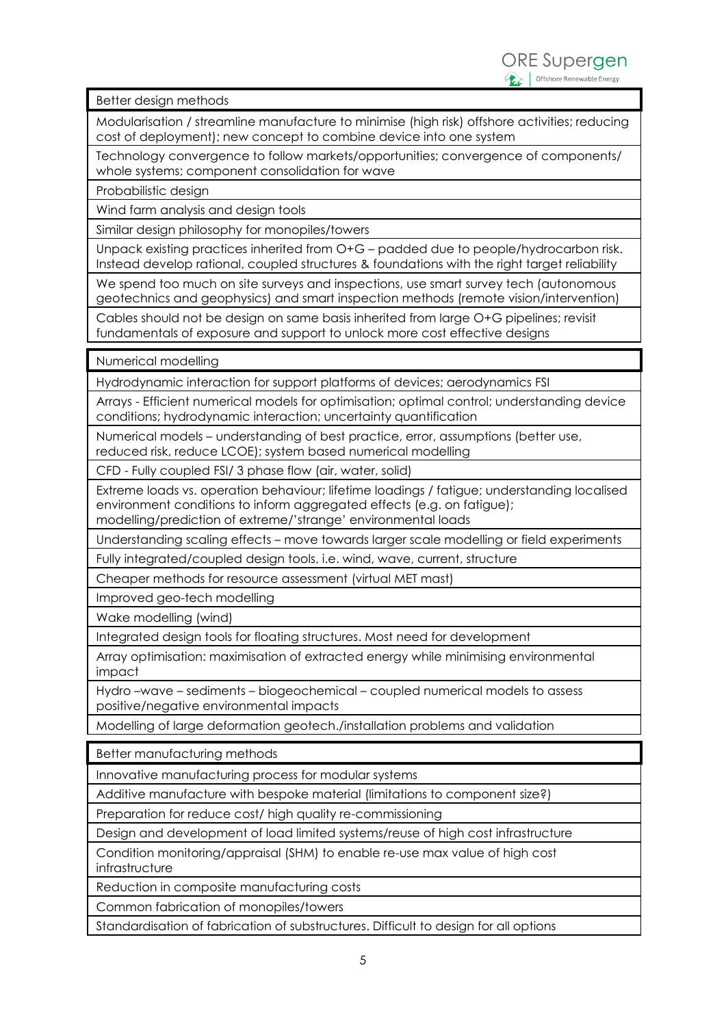Better design methods

Modularisation / streamline manufacture to minimise (high risk) offshore activities; reducing cost of deployment); new concept to combine device into one system

Technology convergence to follow markets/opportunities; convergence of components/ whole systems; component consolidation for wave

Probabilistic design

Wind farm analysis and design tools

Similar design philosophy for monopiles/towers

Unpack existing practices inherited from O+G – padded due to people/hydrocarbon risk. Instead develop rational, coupled structures & foundations with the right target reliability

We spend too much on site surveys and inspections, use smart survey tech (autonomous geotechnics and geophysics) and smart inspection methods (remote vision/intervention)

Cables should not be design on same basis inherited from large O+G pipelines; revisit fundamentals of exposure and support to unlock more cost effective designs

Numerical modelling

Hydrodynamic interaction for support platforms of devices; aerodynamics FSI

Arrays - Efficient numerical models for optimisation; optimal control; understanding device conditions; hydrodynamic interaction; uncertainty quantification

Numerical models – understanding of best practice, error, assumptions (better use, reduced risk, reduce LCOE); system based numerical modelling

CFD - Fully coupled FSI/ 3 phase flow (air, water, solid)

Extreme loads vs. operation behaviour; lifetime loadings / fatigue; understanding localised environment conditions to inform aggregated effects (e.g. on fatigue);

modelling/prediction of extreme/'strange' environmental loads

Understanding scaling effects – move towards larger scale modelling or field experiments

Fully integrated/coupled design tools, i.e. wind, wave, current, structure

Cheaper methods for resource assessment (virtual MET mast)

Improved geo-tech modelling

Wake modelling (wind)

Integrated design tools for floating structures. Most need for development

Array optimisation: maximisation of extracted energy while minimising environmental impact

Hydro –wave – sediments – biogeochemical – coupled numerical models to assess positive/negative environmental impacts

Modelling of large deformation geotech./installation problems and validation

Better manufacturing methods

Innovative manufacturing process for modular systems

Additive manufacture with bespoke material (limitations to component size?)

Preparation for reduce cost/ high quality re-commissioning

Design and development of load limited systems/reuse of high cost infrastructure

Condition monitoring/appraisal (SHM) to enable re-use max value of high cost infrastructure

Reduction in composite manufacturing costs

Common fabrication of monopiles/towers

Standardisation of fabrication of substructures. Difficult to design for all options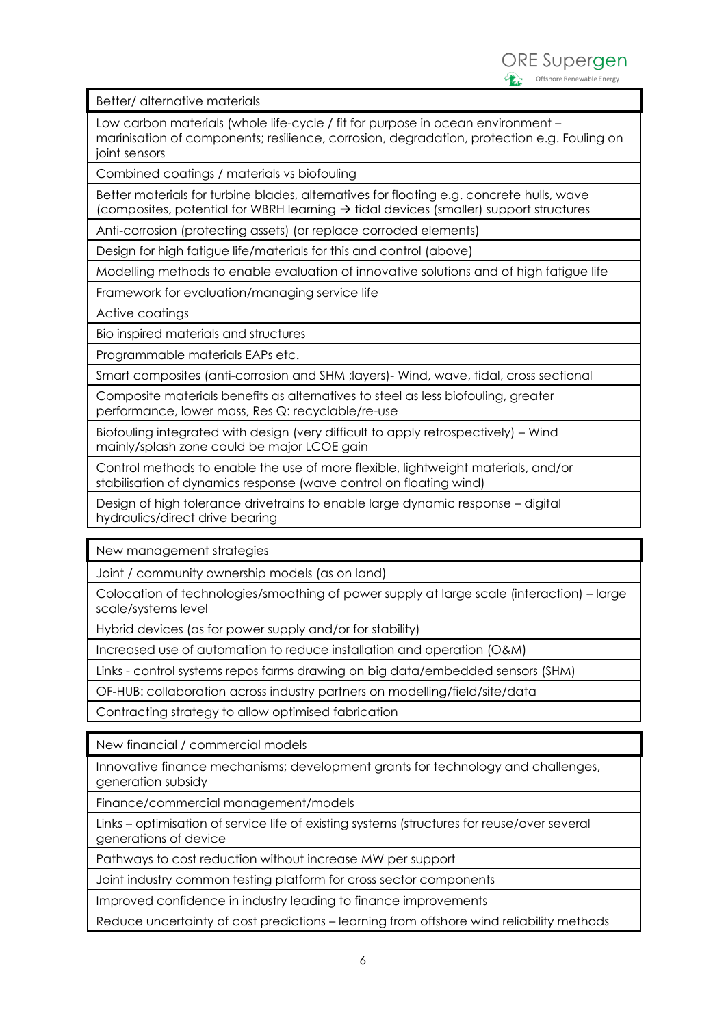Better/ alternative materials

Low carbon materials (whole life-cycle / fit for purpose in ocean environment – marinisation of components; resilience, corrosion, degradation, protection e.g. Fouling on joint sensors

Combined coatings / materials vs biofouling

Better materials for turbine blades, alternatives for floating e.g. concrete hulls, wave (composites, potential for WBRH learning  $\rightarrow$  tidal devices (smaller) support structures

Anti-corrosion (protecting assets) (or replace corroded elements)

Design for high fatigue life/materials for this and control (above)

Modelling methods to enable evaluation of innovative solutions and of high fatigue life

Framework for evaluation/managing service life

Active coatings

Bio inspired materials and structures

Programmable materials EAPs etc.

Smart composites (anti-corrosion and SHM ;layers)- Wind, wave, tidal, cross sectional

Composite materials benefits as alternatives to steel as less biofouling, greater performance, lower mass, Res Q: recyclable/re-use

Biofouling integrated with design (very difficult to apply retrospectively) – Wind mainly/splash zone could be major LCOE gain

Control methods to enable the use of more flexible, lightweight materials, and/or stabilisation of dynamics response (wave control on floating wind)

Design of high tolerance drivetrains to enable large dynamic response – digital hydraulics/direct drive bearing

New management strategies

Joint / community ownership models (as on land)

Colocation of technologies/smoothing of power supply at large scale (interaction) – large scale/systems level

Hybrid devices (as for power supply and/or for stability)

Increased use of automation to reduce installation and operation (O&M)

Links - control systems repos farms drawing on big data/embedded sensors (SHM)

OF-HUB: collaboration across industry partners on modelling/field/site/data

Contracting strategy to allow optimised fabrication

New financial / commercial models

Innovative finance mechanisms; development grants for technology and challenges, generation subsidy

Finance/commercial management/models

Links – optimisation of service life of existing systems (structures for reuse/over several generations of device

Pathways to cost reduction without increase MW per support

Joint industry common testing platform for cross sector components

Improved confidence in industry leading to finance improvements

Reduce uncertainty of cost predictions – learning from offshore wind reliability methods